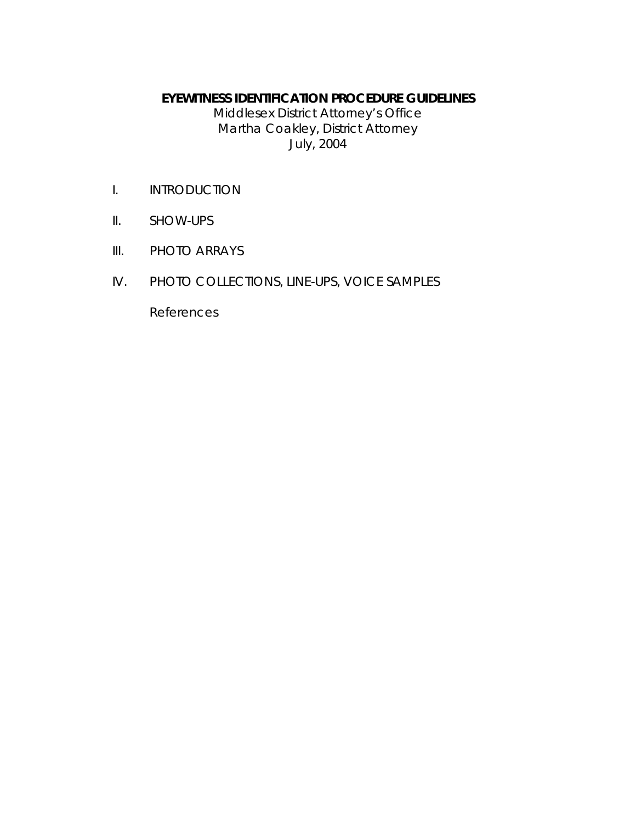#### **EYEWITNESS IDENTIFICATION PROCEDURE GUIDELINES**

Middlesex District Attorney's Office Martha Coakley, District Attorney July, 2004

- I. INTRODUCTION
- II. SHOW-UPS
- III. PHOTO ARRAYS
- IV. PHOTO COLLECTIONS, LINE-UPS, VOICE SAMPLES

References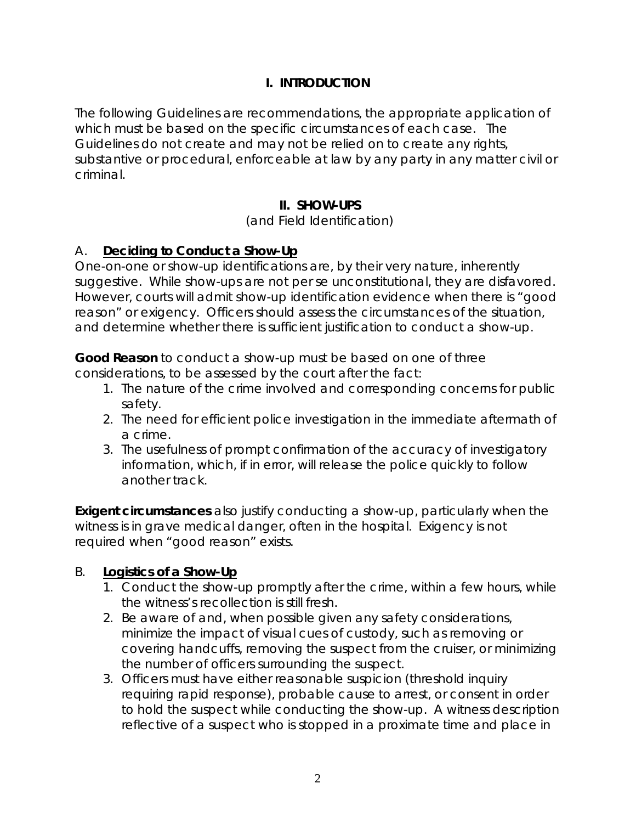## **I. INTRODUCTION**

The following Guidelines are recommendations, the appropriate application of which must be based on the specific circumstances of each case. The Guidelines do not create and may not be relied on to create any rights, substantive or procedural, enforceable at law by any party in any matter civil or criminal.

## **II. SHOW-UPS**

#### (and Field Identification)

### A. **Deciding to Conduct a Show-Up**

One-on-one or show-up identifications are, by their very nature, inherently suggestive. While show-ups are not per se unconstitutional, they are disfavored. However, courts will admit show-up identification evidence when there is "good reason" or exigency. Officers should assess the circumstances of the situation, and determine whether there is sufficient justification to conduct a show-up.

**Good Reason** to conduct a show-up must be based on one of three considerations, to be assessed by the court after the fact:

- 1. The nature of the crime involved and corresponding concerns for public safety.
- 2. The need for efficient police investigation in the immediate aftermath of a crime.
- 3. The usefulness of prompt confirmation of the accuracy of investigatory information, which, if in error, will release the police quickly to follow another track.

**Exigent circumstances** also justify conducting a show-up, particularly when the witness is in grave medical danger, often in the hospital. Exigency is not required when "good reason" exists.

### B. **Logistics of a Show-Up**

- 1. Conduct the show-up promptly after the crime, within a few hours, while the witness's recollection is still fresh.
- 2. Be aware of and, when possible given any safety considerations, minimize the impact of visual cues of custody, such as removing or covering handcuffs, removing the suspect from the cruiser, or minimizing the number of officers surrounding the suspect.
- 3. Officers must have either reasonable suspicion (threshold inquiry requiring rapid response), probable cause to arrest, or consent in order to hold the suspect while conducting the show-up. A witness description reflective of a suspect who is stopped in a proximate time and place in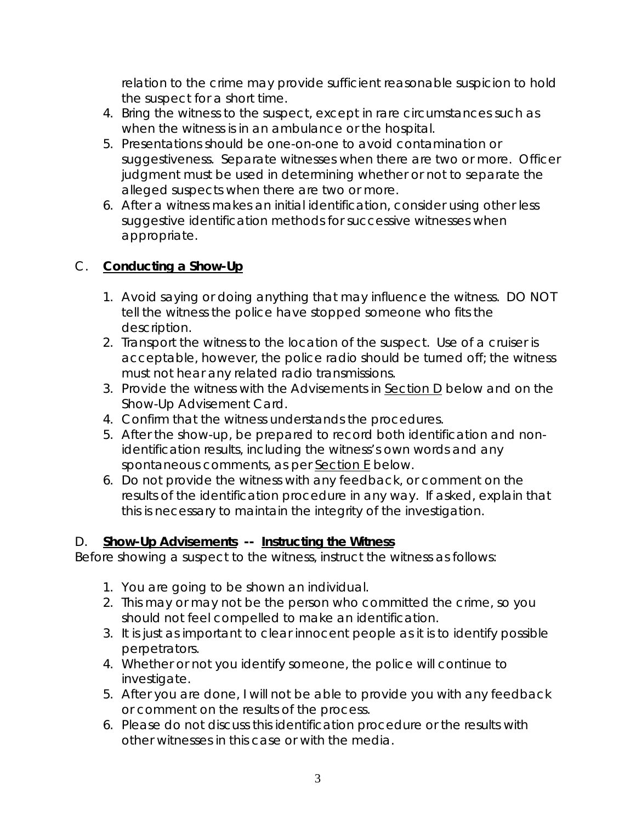relation to the crime may provide sufficient reasonable suspicion to hold the suspect for a short time.

- 4. Bring the witness to the suspect, except in rare circumstances such as when the witness is in an ambulance or the hospital.
- 5. Presentations should be one-on-one to avoid contamination or suggestiveness. Separate witnesses when there are two or more. Officer judgment must be used in determining whether or not to separate the alleged suspects when there are two or more.
- 6. After a witness makes an initial identification, consider using other less suggestive identification methods for successive witnesses when appropriate.

### C. **Conducting a Show-Up**

- 1. Avoid saying or doing anything that may influence the witness. DO NOT tell the witness the police have stopped someone who fits the description.
- 2. Transport the witness to the location of the suspect. Use of a cruiser is acceptable, however, the police radio should be turned off; the witness must not hear any related radio transmissions.
- 3. Provide the witness with the Advisements in Section D below and on the *Show-Up Advisement Card*.
- 4. Confirm that the witness understands the procedures.
- 5. After the show-up, be prepared to record both identification and nonidentification results, including the witness's own words and any spontaneous comments, as per Section E below.
- 6. Do not provide the witness with any feedback, or comment on the results of the identification procedure in any way. If asked, explain that this is necessary to maintain the integrity of the investigation.

#### D. **Show-Up Advisements -- Instructing the Witness**

Before showing a suspect to the witness, instruct the witness as follows:

- 1. You are going to be shown an individual.
- 2. This may or may not be the person who committed the crime, so you should not feel compelled to make an identification.
- 3. It is just as important to clear innocent people as it is to identify possible perpetrators.
- 4. Whether or not you identify someone, the police will continue to investigate.
- 5. After you are done, I will not be able to provide you with any feedback or comment on the results of the process.
- 6. Please do not discuss this identification procedure or the results with other witnesses in this case or with the media.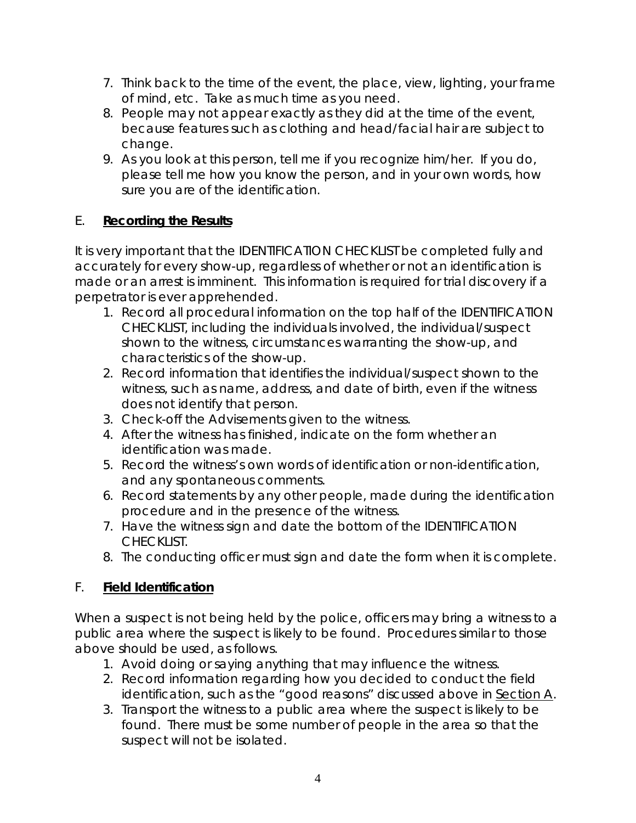- 7. Think back to the time of the event, the place, view, lighting, your frame of mind, etc. Take as much time as you need.
- 8. People may not appear exactly as they did at the time of the event, because features such as clothing and head/facial hair are subject to change.
- 9. As you look at this person, tell me if you recognize him/her. If you do, please tell me how you know the person, and in your own words, how sure you are of the identification.

## E. **Recording the Results**

It is very important that the IDENTIFICATION CHECKLIST be completed fully and accurately for every show-up, regardless of whether or not an identification is made or an arrest is imminent. This information is required for trial discovery if a perpetrator is ever apprehended.

- 1. Record all procedural information on the top half of the IDENTIFICATION CHECKLIST, including the individuals involved, the individual/suspect shown to the witness, circumstances warranting the show-up, and characteristics of the show-up.
- 2. Record information that identifies the individual/suspect shown to the witness, such as name, address, and date of birth, even if the witness does not identify that person.
- 3. Check-off the Advisements given to the witness.
- 4. After the witness has finished, indicate on the form whether an identification was made.
- 5. Record the witness's own words of identification or non-identification, and any spontaneous comments.
- 6. Record statements by any other people, made during the identification procedure and in the presence of the witness.
- 7. Have the witness sign and date the bottom of the IDENTIFICATION CHECKLIST.
- 8. The conducting officer must sign and date the form when it is complete.

# F. **Field Identification**

When a suspect is not being held by the police, officers may bring a witness to a public area where the suspect is likely to be found. Procedures similar to those above should be used, as follows.

- 1. Avoid doing or saying anything that may influence the witness.
- 2. Record information regarding how you decided to conduct the field identification, such as the "good reasons" discussed above in Section A.
- 3. Transport the witness to a public area where the suspect is likely to be found. There must be some number of people in the area so that the suspect will not be isolated.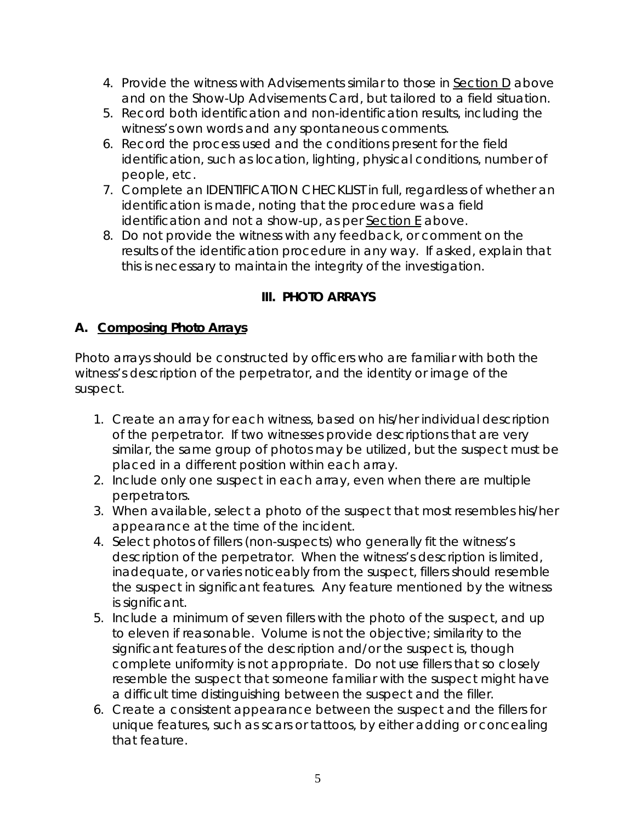- 4. Provide the witness with Advisements similar to those in Section D above and on the *Show-Up Advisements Card*, but tailored to a field situation.
- 5. Record both identification and non-identification results, including the witness's own words and any spontaneous comments.
- 6. Record the process used and the conditions present for the field identification, such as location, lighting, physical conditions, number of people, etc.
- 7. Complete an IDENTIFICATION CHECKLIST in full, regardless of whether an identification is made, noting that the procedure was a field identification and not a show-up, as per **Section E** above.
- 8. Do not provide the witness with any feedback, or comment on the results of the identification procedure in any way. If asked, explain that this is necessary to maintain the integrity of the investigation.

# **III. PHOTO ARRAYS**

## **A. Composing Photo Arrays**

Photo arrays should be constructed by officers who are familiar with both the witness's description of the perpetrator, and the identity or image of the suspect.

- 1. Create an array for each witness, based on his/her individual description of the perpetrator. If two witnesses provide descriptions that are very similar, the same group of photos may be utilized, but the suspect must be placed in a different position within each array.
- 2. Include only one suspect in each array, even when there are multiple perpetrators.
- 3. When available, select a photo of the suspect that most resembles his/her appearance at the time of the incident.
- 4. Select photos of fillers (non-suspects) who generally fit the witness's description of the perpetrator. When the witness's description is limited, inadequate, or varies noticeably from the suspect, fillers should resemble the suspect in significant features. Any feature mentioned by the witness is significant.
- 5. Include a minimum of seven fillers with the photo of the suspect, and up to eleven if reasonable. Volume is not the objective; similarity to the significant features of the description and/or the suspect is, though complete uniformity is not appropriate. Do not use fillers that so closely resemble the suspect that someone familiar with the suspect might have a difficult time distinguishing between the suspect and the filler.
- 6. Create a consistent appearance between the suspect and the fillers for unique features, such as scars or tattoos, by either adding or concealing that feature.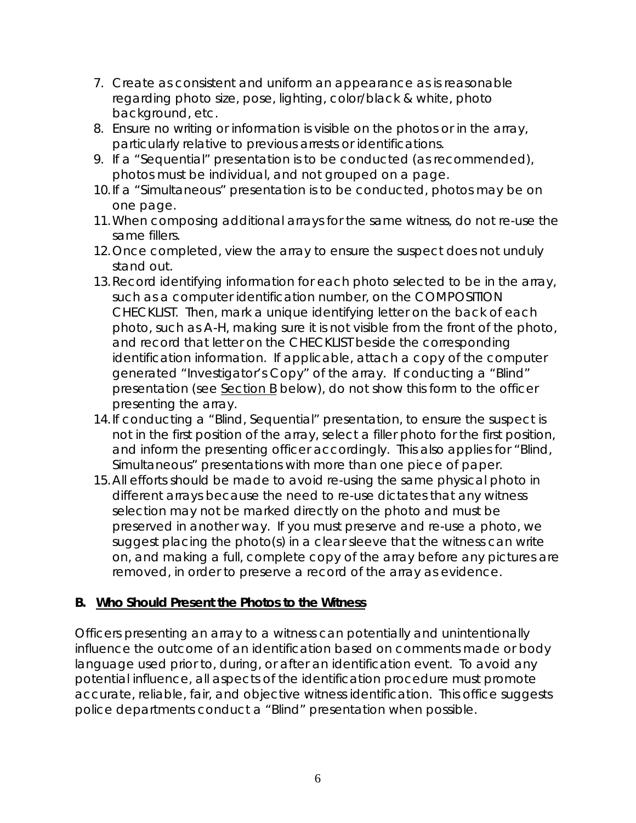- 7. Create as consistent and uniform an appearance as is reasonable regarding photo size, pose, lighting, color/black & white, photo background, etc.
- 8. Ensure no writing or information is visible on the photos or in the array, particularly relative to previous arrests or identifications.
- 9. If a "Sequential" presentation is to be conducted (as recommended), photos must be individual, and not grouped on a page.
- 10.If a "Simultaneous" presentation is to be conducted, photos may be on one page.
- 11.When composing additional arrays for the same witness, do not re-use the same fillers.
- 12.Once completed, view the array to ensure the suspect does not unduly stand out.
- 13.Record identifying information for each photo selected to be in the array, such as a computer identification number, on the COMPOSITION CHECKLIST. Then, mark a unique identifying letter on the back of each photo, such as A-H, making sure it is not visible from the front of the photo, and record that letter on the CHECKLIST beside the corresponding identification information. If applicable, attach a copy of the computer generated "Investigator's Copy" of the array. If conducting a "Blind" presentation (see Section B below), do not show this form to the officer presenting the array.
- 14.If conducting a "Blind, Sequential" presentation, to ensure the suspect is not in the first position of the array, select a filler photo for the first position, and inform the presenting officer accordingly. This also applies for "Blind, Simultaneous" presentations with more than one piece of paper.
- 15.All efforts should be made to avoid re-using the same physical photo in different arrays because the need to re-use dictates that any witness selection may not be marked directly on the photo and must be preserved in another way. If you must preserve and re-use a photo, we suggest placing the photo(s) in a clear sleeve that the witness can write on, and making a full, complete copy of the array before any pictures are removed, in order to preserve a record of the array as evidence.

### **B. Who Should Present the Photos to the Witness**

Officers presenting an array to a witness can potentially and unintentionally influence the outcome of an identification based on comments made or body language used prior to, during, or after an identification event. To avoid any potential influence, all aspects of the identification procedure must promote accurate, reliable, fair, and objective witness identification. This office suggests police departments conduct a "Blind" presentation when possible.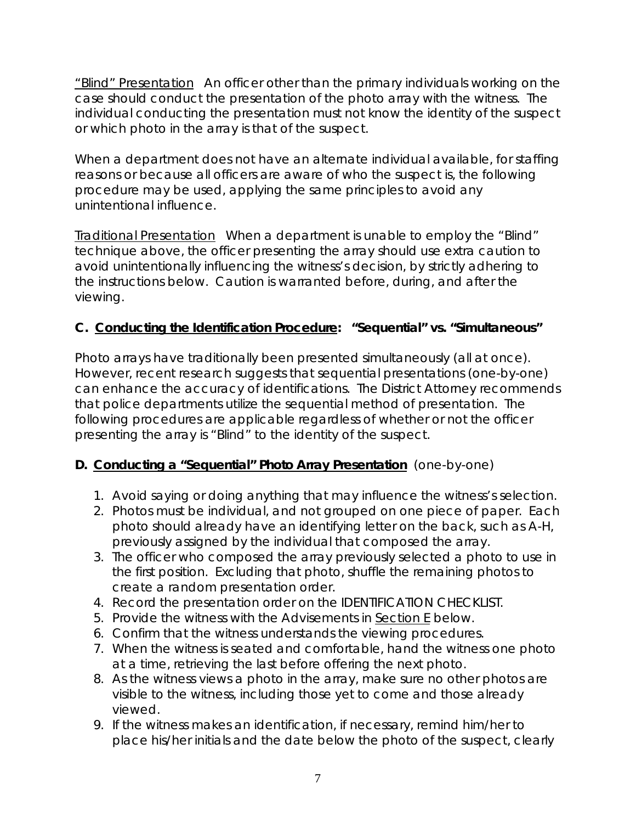"Blind" Presentation An officer other than the primary individuals working on the case should conduct the presentation of the photo array with the witness. The individual conducting the presentation must not know the identity of the suspect or which photo in the array is that of the suspect.

When a department does not have an alternate individual available, for staffing reasons or because all officers are aware of who the suspect is, the following procedure may be used, applying the same principles to avoid any unintentional influence.

Traditional Presentation When a department is unable to employ the "Blind" technique above, the officer presenting the array should use extra caution to avoid unintentionally influencing the witness's decision, by strictly adhering to the instructions below. Caution is warranted before, during, and after the viewing.

# **C. Conducting the Identification Procedure: "Sequential" vs. "Simultaneous"**

Photo arrays have traditionally been presented simultaneously (all at once). However, recent research suggests that sequential presentations (one-by-one) can enhance the accuracy of identifications. The District Attorney recommends that police departments utilize the sequential method of presentation. The following procedures are applicable regardless of whether or not the officer presenting the array is "Blind" to the identity of the suspect.

# **D. Conducting a "Sequential" Photo Array Presentation** (one-by-one)

- 1. Avoid saying or doing anything that may influence the witness's selection.
- 2. Photos must be individual, and not grouped on one piece of paper. Each photo should already have an identifying letter on the back, such as A-H, previously assigned by the individual that composed the array.
- 3. The officer who composed the array previously selected a photo to use in the first position. Excluding that photo, shuffle the remaining photos to create a random presentation order.
- 4. Record the presentation order on the IDENTIFICATION CHECKLIST.
- 5. Provide the witness with the Advisements in Section E below.
- 6. Confirm that the witness understands the viewing procedures.
- 7. When the witness is seated and comfortable, hand the witness one photo at a time, retrieving the last before offering the next photo.
- 8. As the witness views a photo in the array, make sure no other photos are visible to the witness, including those yet to come and those already viewed.
- 9. If the witness makes an identification, if necessary, remind him/her to place his/her initials and the date below the photo of the suspect, clearly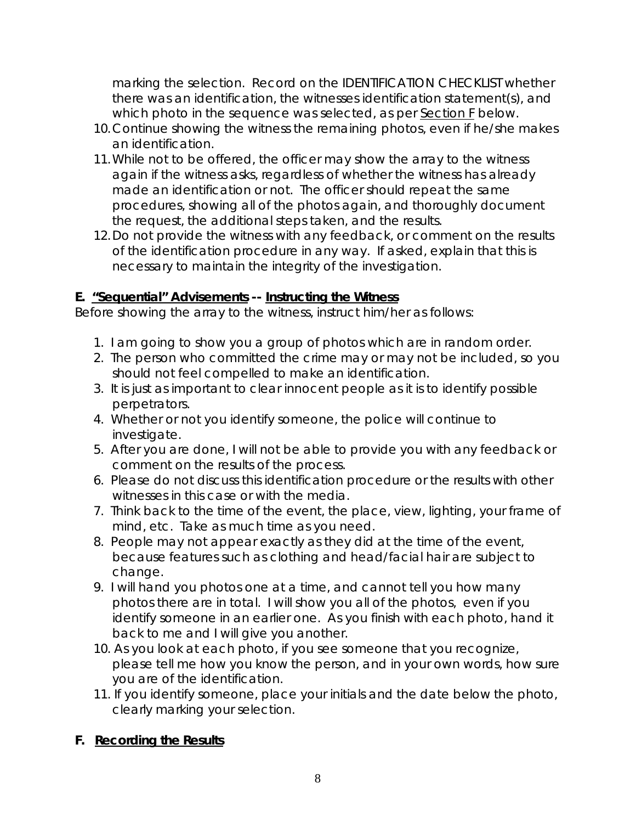marking the selection. Record on the IDENTIFICATION CHECKLIST whether there was an identification, the witnesses identification statement(s), and which photo in the sequence was selected, as per Section F below.

- 10.Continue showing the witness the remaining photos, even if he/she makes an identification.
- 11.While not to be offered, the officer may show the array to the witness again if the witness asks, regardless of whether the witness has already made an identification or not. The officer should repeat the same procedures, showing all of the photos again, and thoroughly document the request, the additional steps taken, and the results.
- 12.Do not provide the witness with any feedback, or comment on the results of the identification procedure in any way. If asked, explain that this is necessary to maintain the integrity of the investigation.

### **E. "Sequential" Advisements -- Instructing the Witness**

Before showing the array to the witness, instruct him/her as follows:

- 1. I am going to show you a group of photos which are in random order.
- 2. The person who committed the crime may or may not be included, so you should not feel compelled to make an identification.
- 3. It is just as important to clear innocent people as it is to identify possible perpetrators.
- 4. Whether or not you identify someone, the police will continue to investigate.
- 5. After you are done, I will not be able to provide you with any feedback or comment on the results of the process.
- 6. Please do not discuss this identification procedure or the results with other witnesses in this case or with the media.
- 7. Think back to the time of the event, the place, view, lighting, your frame of mind, etc. Take as much time as you need.
- 8. People may not appear exactly as they did at the time of the event, because features such as clothing and head/facial hair are subject to change.
- 9. I will hand you photos one at a time, and cannot tell you how many photos there are in total. I will show you all of the photos, even if you identify someone in an earlier one. As you finish with each photo, hand it back to me and I will give you another.
- 10. As you look at each photo, if you see someone that you recognize, please tell me how you know the person, and in your own words, how sure you are of the identification.
- 11. If you identify someone, place your initials and the date below the photo, clearly marking your selection.

# **F. Recording the Results**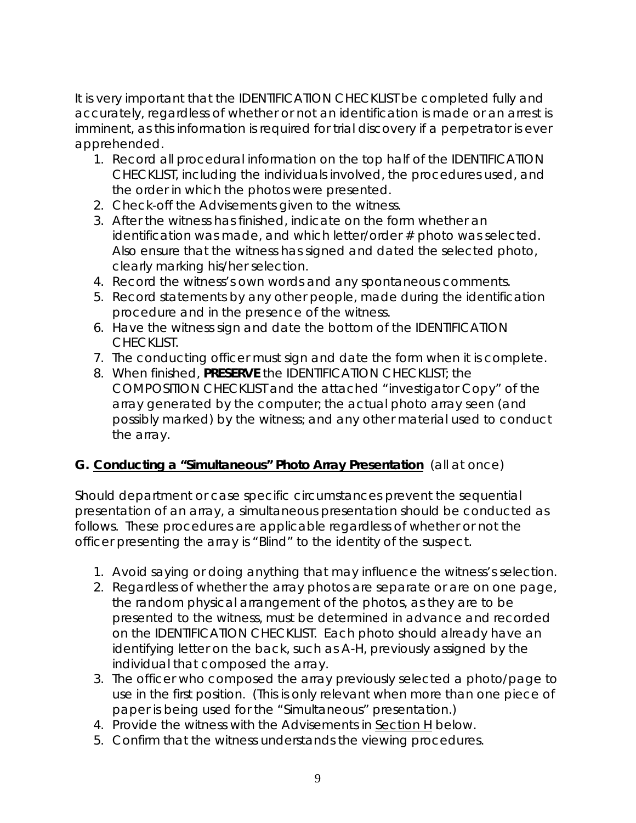It is very important that the IDENTIFICATION CHECKLIST be completed fully and accurately, regardless of whether or not an identification is made or an arrest is imminent, as this information is required for trial discovery if a perpetrator is ever apprehended.

- 1. Record all procedural information on the top half of the IDENTIFICATION CHECKLIST, including the individuals involved, the procedures used, and the order in which the photos were presented.
- 2. Check-off the Advisements given to the witness.
- 3. After the witness has finished, indicate on the form whether an identification was made, and which letter/order # photo was selected. Also ensure that the witness has signed and dated the selected photo, clearly marking his/her selection.
- 4. Record the witness's own words and any spontaneous comments.
- 5. Record statements by any other people, made during the identification procedure and in the presence of the witness.
- 6. Have the witness sign and date the bottom of the IDENTIFICATION CHECKLIST.
- 7. The conducting officer must sign and date the form when it is complete.
- 8. When finished, **PRESERVE** the IDENTIFICATION CHECKLIST; the COMPOSITION CHECKLIST and the attached "investigator Copy" of the array generated by the computer; the actual photo array seen (and possibly marked) by the witness; and any other material used to conduct the array.

# **G. Conducting a "Simultaneous" Photo Array Presentation** (all at once)

Should department or case specific circumstances prevent the sequential presentation of an array, a simultaneous presentation should be conducted as follows. These procedures are applicable regardless of whether or not the officer presenting the array is "Blind" to the identity of the suspect.

- 1. Avoid saying or doing anything that may influence the witness's selection.
- 2. Regardless of whether the array photos are separate or are on one page, the random physical arrangement of the photos, as they are to be presented to the witness, must be determined in advance and recorded on the IDENTIFICATION CHECKLIST. Each photo should already have an identifying letter on the back, such as A-H, previously assigned by the individual that composed the array.
- 3. The officer who composed the array previously selected a photo/page to use in the first position. (This is only relevant when more than one piece of paper is being used for the "Simultaneous" presentation.)
- 4. Provide the witness with the Advisements in Section H below.
- 5. Confirm that the witness understands the viewing procedures.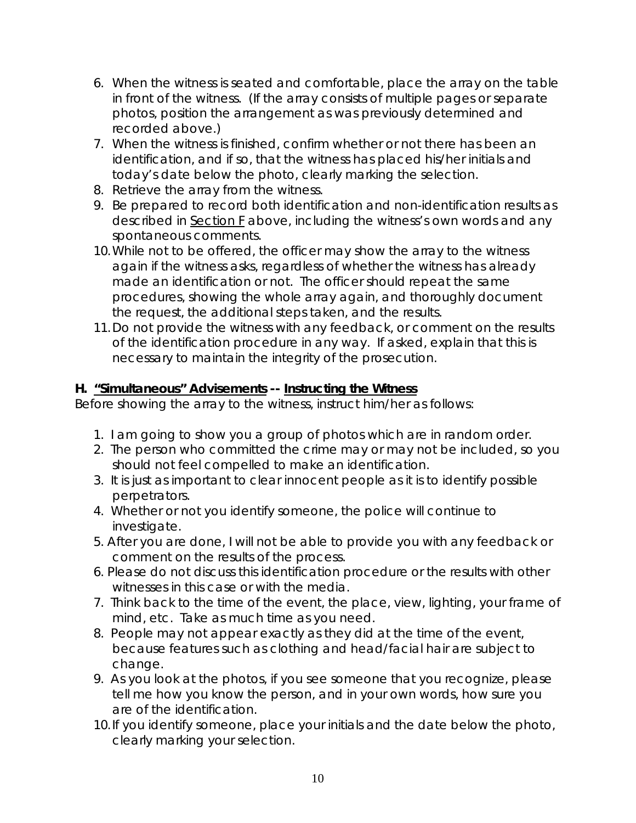- 6. When the witness is seated and comfortable, place the array on the table in front of the witness. (If the array consists of multiple pages or separate photos, position the arrangement as was previously determined and recorded above.)
- 7. When the witness is finished, confirm whether or not there has been an identification, and if so, that the witness has placed his/her initials and today's date below the photo, clearly marking the selection.
- 8. Retrieve the array from the witness.
- 9. Be prepared to record both identification and non-identification results as described in Section F above, including the witness's own words and any spontaneous comments.
- 10.While not to be offered, the officer may show the array to the witness again if the witness asks, regardless of whether the witness has already made an identification or not. The officer should repeat the same procedures, showing the whole array again, and thoroughly document the request, the additional steps taken, and the results.
- 11.Do not provide the witness with any feedback, or comment on the results of the identification procedure in any way. If asked, explain that this is necessary to maintain the integrity of the prosecution.

### **H. "Simultaneous" Advisements -- Instructing the Witness**

Before showing the array to the witness, instruct him/her as follows:

- 1. I am going to show you a group of photos which are in random order.
- 2. The person who committed the crime may or may not be included, so you should not feel compelled to make an identification.
- 3. It is just as important to clear innocent people as it is to identify possible perpetrators.
- 4. Whether or not you identify someone, the police will continue to investigate.
- 5. After you are done, I will not be able to provide you with any feedback or comment on the results of the process.
- 6. Please do not discuss this identification procedure or the results with other witnesses in this case or with the media.
- 7. Think back to the time of the event, the place, view, lighting, your frame of mind, etc. Take as much time as you need.
- 8. People may not appear exactly as they did at the time of the event, because features such as clothing and head/facial hair are subject to change.
- 9. As you look at the photos, if you see someone that you recognize, please tell me how you know the person, and in your own words, how sure you are of the identification.
- 10. If you identify someone, place your initials and the date below the photo, clearly marking your selection.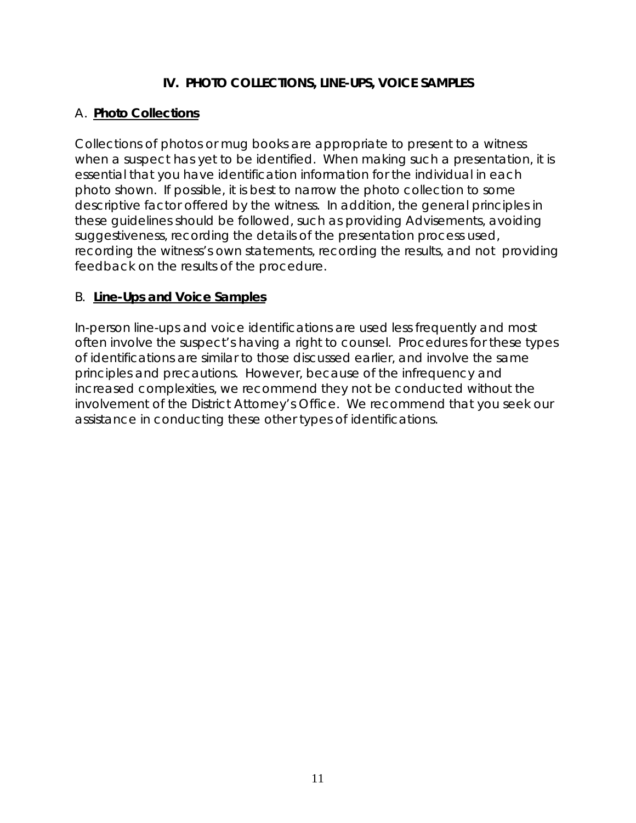### **IV. PHOTO COLLECTIONS, LINE-UPS, VOICE SAMPLES**

#### A. **Photo Collections**

Collections of photos or mug books are appropriate to present to a witness when a suspect has yet to be identified. When making such a presentation, it is essential that you have identification information for the individual in each photo shown. If possible, it is best to narrow the photo collection to some descriptive factor offered by the witness. In addition, the general principles in these guidelines should be followed, such as providing Advisements, avoiding suggestiveness, recording the details of the presentation process used, recording the witness's own statements, recording the results, and not providing feedback on the results of the procedure.

#### B. **Line-Ups and Voice Samples**

In-person line-ups and voice identifications are used less frequently and most often involve the suspect's having a right to counsel. Procedures for these types of identifications are similar to those discussed earlier, and involve the same principles and precautions. However, because of the infrequency and increased complexities, we recommend they not be conducted without the involvement of the District Attorney's Office. We recommend that you seek our assistance in conducting these other types of identifications.